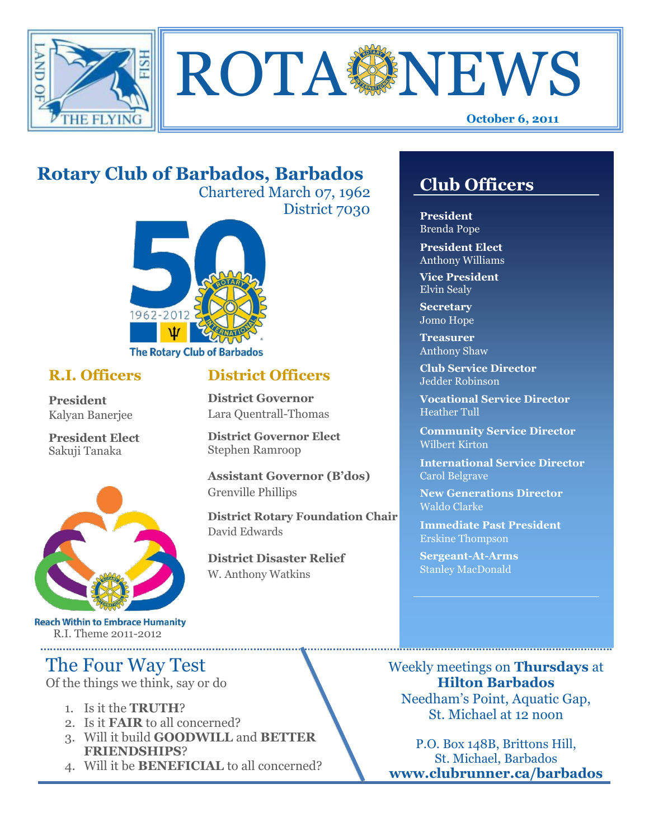



# **Rotary Club of Barbados, Barbados**

Chartered March 07, 1962 District 7030

**District Officers**

**District Governor Elect**

**District Disaster Relief**

W. Anthony Watkins

**Assistant Governor (B'dos)**

**District Rotary Foundation Chair**

**District Governor** Lara Quentrall-Thomas

Stephen Ramroop

Grenville Phillips

David Edwards



## **R.I. Officers**

**President**  Kalyan Banerjee

**President Elect** Sakuji Tanaka



**Reach Within to Embrace Humanity** R.I. Theme 2011-2012

# The Four Way Test

Of the things we think, say or do

- 1. Is it the **TRUTH**?
- 2. Is it **FAIR** to all concerned?
- 3. Will it build **GOODWILL** and **BETTER FRIENDSHIPS**?
- 4. Will it be **BENEFICIAL** to all concerned?

# **Club Officers**

**Club Officers** 

**President** Brenda Pope

**President Elect** Anthony Williams

**Vice President** Elvin Sealy

**Secretary** Jomo Hope

**Treasurer** Anthony Shaw

**Club Service Director** Jedder Robinson

**Vocational Service Director** Heather Tull

**Community Service Director** Wilbert Kirton

**International Service Director** Carol Belgrave

**New Generations Director** Waldo Clarke

**Immediate Past President** Erskine Thompson

**Sergeant-At-Arms** Stanley MacDonald

Weekly meetings on **Thursdays** at **Hilton Barbados** Needham's Point, Aquatic Gap, St. Michael at 12 noon

P.O. Box 148B, Brittons Hill, St. Michael, Barbados **www.clubrunner.ca/barbados**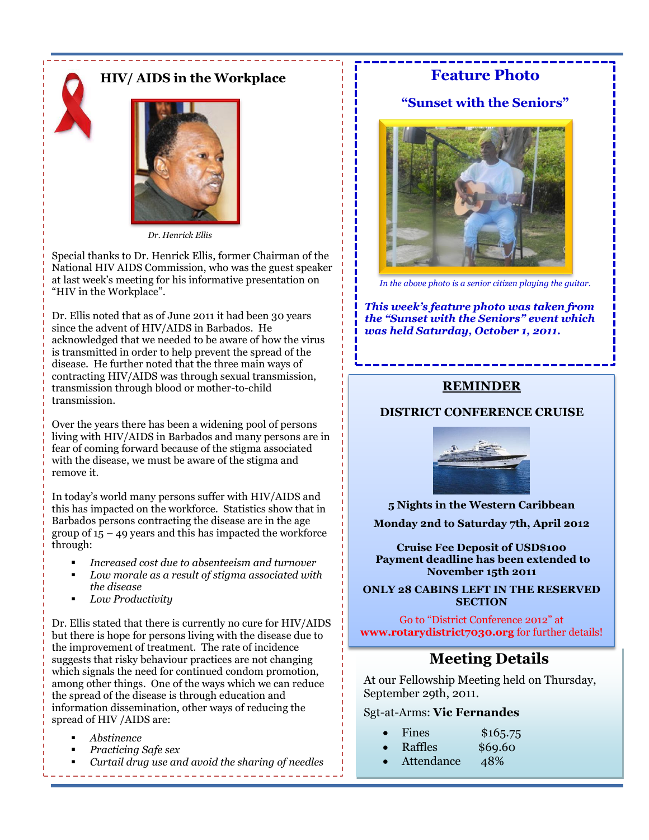



 *Dr. Henrick Ellis*

Special thanks to Dr. Henrick Ellis, former Chairman of the National HIV AIDS Commission, who was the guest speaker at last week's meeting for his informative presentation on "HIV in the Workplace".

Dr. Ellis noted that as of June 2011 it had been 30 years since the advent of HIV/AIDS in Barbados. He acknowledged that we needed to be aware of how the virus is transmitted in order to help prevent the spread of the disease. He further noted that the three main ways of contracting HIV/AIDS was through sexual transmission, transmission through blood or mother-to-child transmission.

Over the years there has been a widening pool of persons living with HIV/AIDS in Barbados and many persons are in fear of coming forward because of the stigma associated with the disease, we must be aware of the stigma and remove it.

In today's world many persons suffer with HIV/AIDS and this has impacted on the workforce. Statistics show that in Barbados persons contracting the disease are in the age group of  $15 - 49$  years and this has impacted the workforce through:

- *Increased cost due to absenteeism and turnover*
- *Low morale as a result of stigma associated with the disease*
- *Low Productivity*

Dr. Ellis stated that there is currently no cure for HIV/AIDS but there is hope for persons living with the disease due to the improvement of treatment. The rate of incidence suggests that risky behaviour practices are not changing which signals the need for continued condom promotion, among other things. One of the ways which we can reduce the spread of the disease is through education and information dissemination, other ways of reducing the spread of HIV /AIDS are:

- *Abstinence*
- *Practicing Safe sex*
- *Curtail drug use and avoid the sharing of needles*

## **Feature Photo**

### **"Sunset with the Seniors"**



*In the above photo is a senior citizen playing the guitar.*

*This week's feature photo was taken from the "Sunset with the Seniors" event which was held Saturday, October 1, 2011.*

#### **REMINDER**

#### **DISTRICT CONFERENCE CRUISE**



**5 Nights in the Western Caribbean**

**Monday 2nd to Saturday 7th, April 2012**

**Cruise Fee Deposit of USD\$100 Payment deadline has been extended to November 15th 2011**

**ONLY 28 CABINS LEFT IN THE RESERVED SECTION**

Go to "District Conference 2012" at **www.rotarydistrict7030.org** for further details!

## **Meeting Details**

At our Fellowship Meeting held on Thursday, September 29th, 2011.

#### Sgt-at-Arms: **Vic Fernandes**

- Fines \$165.75
- Raffles \$69.60
- Attendance 48%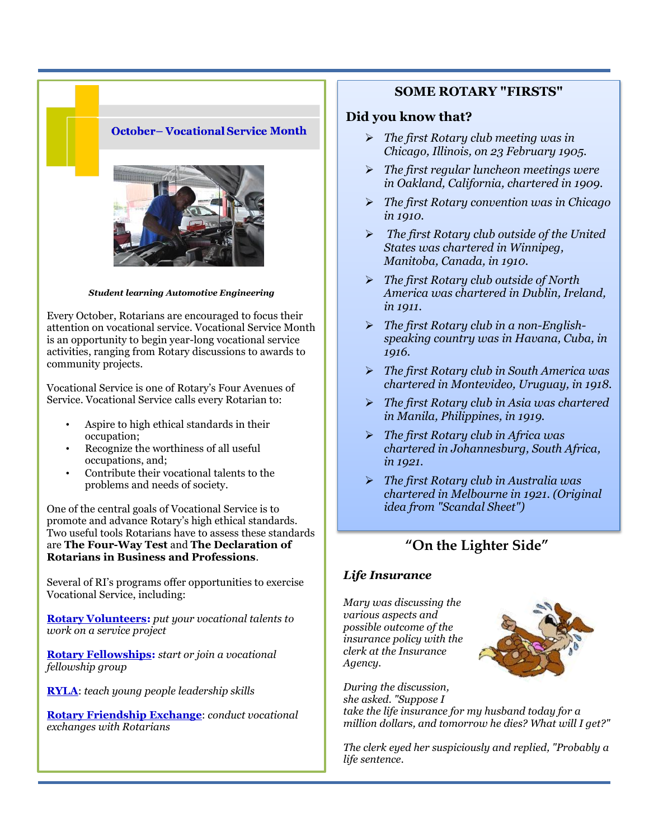### **October-Vocational Service Month**



*Student learning Automotive Engineering* 

Every October, Rotarians are encouraged to focus their attention on vocational service. Vocational Service Month is an opportunity to begin year-long vocational service activities, ranging from Rotary discussions to awards to community projects.

Vocational Service is one of Rotary's Four Avenues of Service. Vocational Service calls every Rotarian to:

- Aspire to high ethical standards in their occupation;
- Recognize the worthiness of all useful occupations, and;
- Contribute their vocational talents to the problems and needs of society.

One of the central goals of Vocational Service is to promote and advance Rotary's high ethical standards. Two useful tools Rotarians have to assess these standards are **[The Four-Way Test](http://www.rotary.org/en/AboutUs/RotaryInternational/GuidingPrinciples/Pages/ridefault.aspx)** and **[The Declaration of](http://www.rotary.org/RIdocuments/en_pdf/200en.pdf)  [Rotarians in Business and Professions](http://www.rotary.org/RIdocuments/en_pdf/200en.pdf)**.

Several of RI's programs offer opportunities to exercise Vocational Service, including:

**[Rotary Volunteers:](http://www.rotary.org/en/ServiceAndFellowship/ProjectResources/FindingVolunteers/Pages/ridefault.aspx)** *put your vocational talents to work on a service project*

**[Rotary Fellowships:](http://www.rotary.org/en/ServiceAndFellowship/Fellowship/GlobalNetworkingGroups/Pages/ridefault.aspx)** *start or join a vocational fellowship group*

**[RYLA](http://www.rotary.org/en/StudentsAndYouth/YouthPrograms/RotaryYouthLeadershipAwards%28RYLA%29/Pages/ridefault.aspx)**: *teach young people leadership skills*

**[Rotary Friendship Exchange](http://www.rotary.org/en/ServiceAndFellowship/Fellowship/RotaryFriendshipExchange/Pages/ridefault.aspx)**: *conduct vocational exchanges with Rotarians*

### **SOME ROTARY "FIRSTS"**

#### **Did you know that?**

- *The first Rotary club meeting was in Chicago, Illinois, on 23 February 1905.*
- *The first regular luncheon meetings were in Oakland, California, chartered in 1909.*
- *The first Rotary convention was in Chicago in 1910.*
- *The first Rotary club outside of the United States was chartered in Winnipeg, Manitoba, Canada, in 1910.*
- *The first Rotary club outside of North America was chartered in Dublin, Ireland, in 1911.*
- *The first Rotary club in a non-Englishspeaking country was in Havana, Cuba, in 1916.*
- *The first Rotary club in South America was chartered in Montevideo, Uruguay, in 1918.*
- *The first Rotary club in Asia was chartered in Manila, Philippines, in 1919.*
- *The first Rotary club in Africa was chartered in Johannesburg, South Africa, in 1921.*
- *The first Rotary club in Australia was chartered in Melbourne in 1921. (Original idea from "Scandal Sheet")*

## **"On the Lighter Side"**

#### *Life Insurance*

*Mary was discussing the various aspects and possible outcome of the insurance policy with the clerk at the Insurance Agency.* 



*During the discussion, she asked. "Suppose I take the life insurance for my husband today for a million dollars, and tomorrow he dies? What will I get?"* 

*The clerk eyed her suspiciously and replied, "Probably a life sentence.*